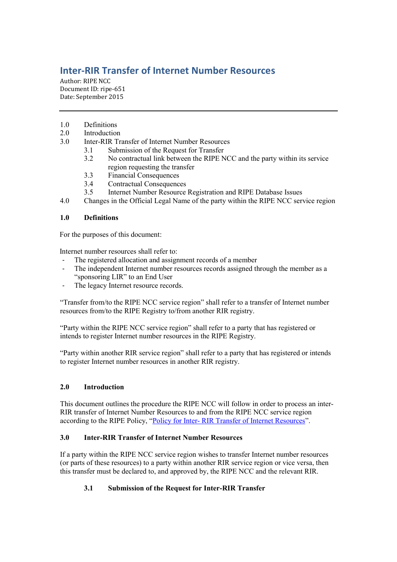# **Inter-RIR Transfer of Internet Number Resources**

Author: RIPE NCC Document ID: ripe-651 Date: September 2015

- 1.0 Definitions
- 2.0 Introduction
- 3.0 Inter-RIR Transfer of Internet Number Resources
	- 3.1 Submission of the Request for Transfer
	- 3.2 No contractual link between the RIPE NCC and the party within its service region requesting the transfer
	- 3.3 Financial Consequences
	- 3.4 Contractual Consequences
	- 3.5 Internet Number Resource Registration and RIPE Database Issues
- 4.0 Changes in the Official Legal Name of the party within the RIPE NCC service region

## **1.0 Definitions**

For the purposes of this document:

Internet number resources shall refer to:

- The registered allocation and assignment records of a member
- The independent Internet number resources records assigned through the member as a "sponsoring LIR" to an End User
- The legacy Internet resource records.

"Transfer from/to the RIPE NCC service region" shall refer to a transfer of Internet number resources from/to the RIPE Registry to/from another RIR registry.

"Party within the RIPE NCC service region" shall refer to a party that has registered or intends to register Internet number resources in the RIPE Registry.

"Party within another RIR service region" shall refer to a party that has registered or intends to register Internet number resources in another RIR registry.

## **2.0 Introduction**

This document outlines the procedure the RIPE NCC will follow in order to process an inter-RIR transfer of Internet Number Resources to and from the RIPE NCC service region according to the RIPE Policy, "Policy for Inter- [RIR Transfer of Internet Resources](https://www.ripe.net/publications/docs/inter-rir-transfers)".

## **3.0 Inter-RIR Transfer of Internet Number Resources**

If a party within the RIPE NCC service region wishes to transfer Internet number resources (or parts of these resources) to a party within another RIR service region or vice versa, then this transfer must be declared to, and approved by, the RIPE NCC and the relevant RIR.

# **3.1 Submission of the Request for Inter-RIR Transfer**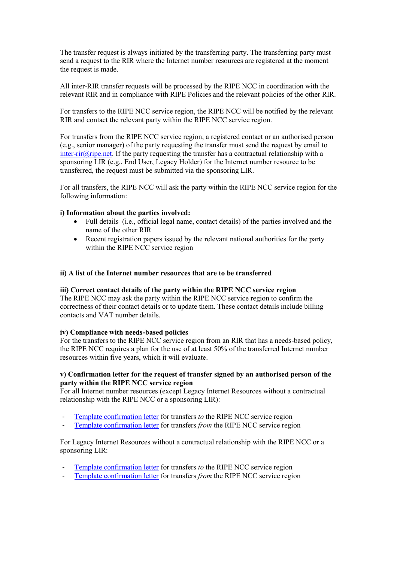The transfer request is always initiated by the transferring party. The transferring party must send a request to the RIR where the Internet number resources are registered at the moment the request is made.

All inter-RIR transfer requests will be processed by the RIPE NCC in coordination with the relevant RIR and in compliance with RIPE Policies and the relevant policies of the other RIR.

For transfers to the RIPE NCC service region, the RIPE NCC will be notified by the relevant RIR and contact the relevant party within the RIPE NCC service region.

For transfers from the RIPE NCC service region, a registered contact or an authorised person (e.g., senior manager) of the party requesting the transfer must send the request by email to inter-rir $\omega$ ripe.net. If the party requesting the transfer has a contractual relationship with a sponsoring LIR (e.g., End User, Legacy Holder) for the Internet number resource to be transferred, the request must be submitted via the sponsoring LIR.

For all transfers, the RIPE NCC will ask the party within the RIPE NCC service region for the following information:

#### **i) Information about the parties involved:**

- Full details (i.e., official legal name, contact details) of the parties involved and the name of the other RIR
- Recent registration papers issued by the relevant national authorities for the party within the RIPE NCC service region

#### **ii) A list of the Internet number resources that are to be transferred**

#### **iii) Correct contact details of the party within the RIPE NCC service region**

The RIPE NCC may ask the party within the RIPE NCC service region to confirm the correctness of their contact details or to update them. These contact details include billing contacts and VAT number details.

#### **iv) Compliance with needs-based policies**

For the transfers to the RIPE NCC service region from an RIR that has a needs-based policy, the RIPE NCC requires a plan for the use of at least 50% of the transferred Internet number resources within five years, which it will evaluate.

#### **v) Confirmation letter for the request of transfer signed by an authorised person of the party within the RIPE NCC service region**

For all Internet number resources (except Legacy Internet Resources without a contractual relationship with the RIPE NCC or a sponsoring LIR):

- [Template confirmation letter](https://www.ripe.net/manage-ips-and-asns/resource-transfers-and-mergers/transfers/inter-rir-transfers/inter-rir-transfer-documents/confirmation-of-transfer-to-the-ripe-ncc-service-region) for transfers *to* the RIPE NCC service region
- [Template confirmation letter](https://www.ripe.net/manage-ips-and-asns/resource-transfers-and-mergers/transfers/inter-rir-transfers/inter-rir-transfer-documents/confirmation-of-transfer-from-the-ripe-ncc-service-region) for transfers *from* the RIPE NCC service region

For Legacy Internet Resources without a contractual relationship with the RIPE NCC or a sponsoring LIR:

- [Template confirmation letter](https://www.ripe.net/manage-ips-and-asns/resource-transfers-and-mergers/transfers/inter-rir-transfers/inter-rir-transfer-documents/confirmation-of-transfer-to-the-ripe-ncc-service-region-legacy-resources-without-contract) for transfers *to* the RIPE NCC service region
- [Template confirmation letter](https://www.ripe.net/manage-ips-and-asns/resource-transfers-and-mergers/transfers/inter-rir-transfers/inter-rir-transfer-documents/confirmation-of-transfer-from-the-ripe-ncc-service-region-legacy-resources-without-contract) for transfers *from* the RIPE NCC service region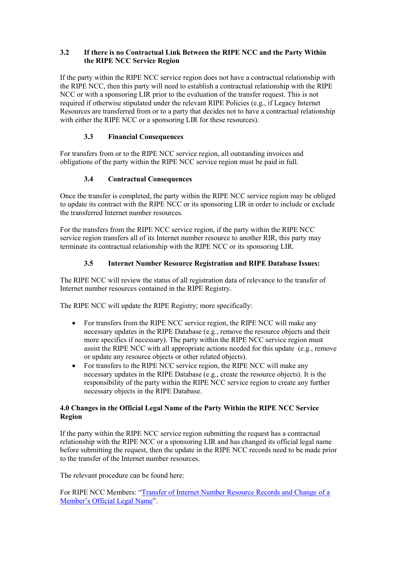## **3.2 If there is no Contractual Link Between the RIPE NCC and the Party Within the RIPE NCC Service Region**

If the party within the RIPE NCC service region does not have a contractual relationship with the RIPE NCC, then this party will need to establish a contractual relationship with the RIPE NCC or with a sponsoring LIR prior to the evaluation of the transfer request. This is not required if otherwise stipulated under the relevant RIPE Policies (e.g., if Legacy Internet Resources are transferred from or to a party that decides not to have a contractual relationship with either the RIPE NCC or a sponsoring LIR for these resources).

## **3.3 Financial Consequences**

For transfers from or to the RIPE NCC service region, all outstanding invoices and obligations of the party within the RIPE NCC service region must be paid in full.

## **3.4 Contractual Consequences**

Once the transfer is completed, the party within the RIPE NCC service region may be obliged to update its contract with the RIPE NCC or its sponsoring LIR in order to include or exclude the transferred Internet number resources.

For the transfers from the RIPE NCC service region, if the party within the RIPE NCC service region transfers all of its Internet number resource to another RIR, this party may terminate its contractual relationship with the RIPE NCC or its sponsoring LIR.

## **3.5 Internet Number Resource Registration and RIPE Database Issues:**

The RIPE NCC will review the status of all registration data of relevance to the transfer of Internet number resources contained in the RIPE Registry.

The RIPE NCC will update the RIPE Registry; more specifically:

- For transfers from the RIPE NCC service region, the RIPE NCC will make any necessary updates in the RIPE Database (e.g., remove the resource objects and their more specifics if necessary). The party within the RIPE NCC service region must assist the RIPE NCC with all appropriate actions needed for this update (e.g., remove or update any resource objects or other related objects).
- For transfers to the RIPE NCC service region, the RIPE NCC will make any necessary updates in the RIPE Database (e.g., create the resource objects). It is the responsibility of the party within the RIPE NCC service region to create any further necessary objects in the RIPE Database.

### **4.0 Changes in the Official Legal Name of the Party Within the RIPE NCC Service Region**

If the party within the RIPE NCC service region submitting the request has a contractual relationship with the RIPE NCC or a sponsoring LIR and has changed its official legal name before submitting the request, then the update in the RIPE NCC records need to be made prior to the transfer of the Internet number resources.

The relevant procedure can be found here:

For RIPE NCC Members: "[Transfer of Internet Number Resource Records and Change of a](https://www.ripe.net/publications/docs/transfer)  [Member's Official Legal Name"](https://www.ripe.net/publications/docs/transfer).